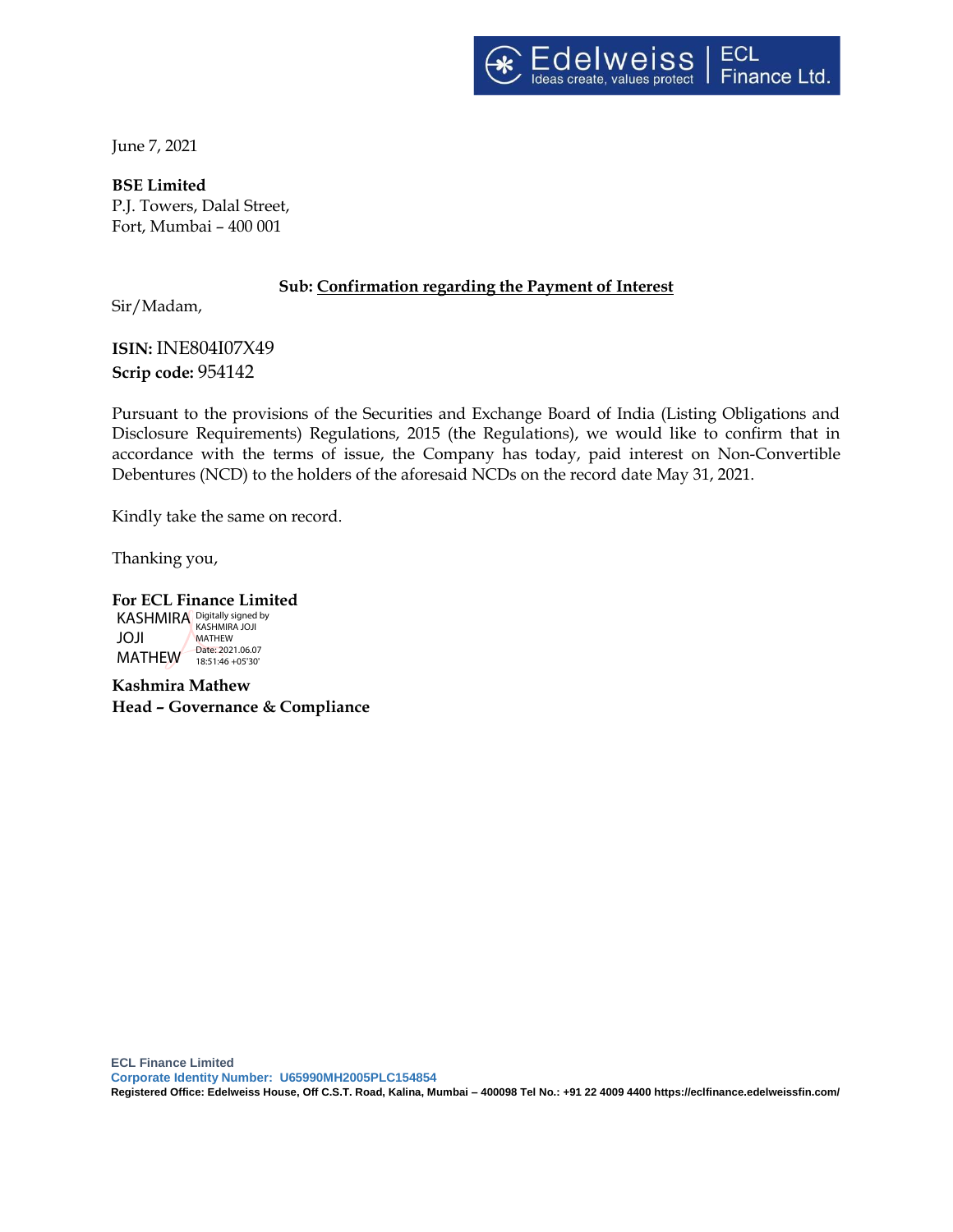

June 7, 2021

**BSE Limited** P.J. Towers, Dalal Street, Fort, Mumbai – 400 001

## **Sub: Confirmation regarding the Payment of Interest**

Sir/Madam,

**ISIN:** INE804I07X49 **Scrip code:** 954142

Pursuant to the provisions of the Securities and Exchange Board of India (Listing Obligations and Disclosure Requirements) Regulations, 2015 (the Regulations), we would like to confirm that in accordance with the terms of issue, the Company has today, paid interest on Non-Convertible Debentures (NCD) to the holders of the aforesaid NCDs on the record date May 31, 2021.

Kindly take the same on record.

Thanking you,

**For ECL Finance Limited**  KASHMIRA Digitally signed by JOJI MATHEW 18:51:46 +05'30' **MATHEW** Date: 2021.06.07

**Kashmira Mathew Head – Governance & Compliance**